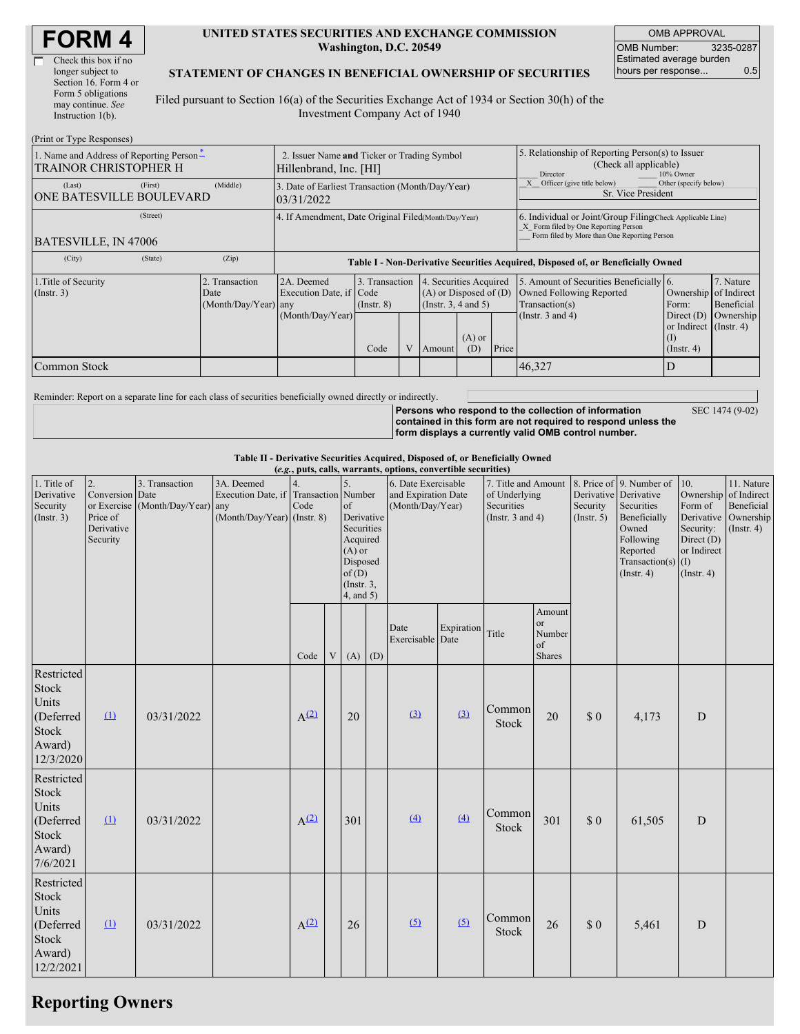| <b>FORM4</b> |
|--------------|
|--------------|

| Check this box if no  |
|-----------------------|
| longer subject to     |
| Section 16. Form 4 or |
| Form 5 obligations    |
| may continue. See     |
| Instruction $1(b)$ .  |
|                       |

 $(D_1, \ldots, T_n)$  or  $D_2$ .

#### **UNITED STATES SECURITIES AND EXCHANGE COMMISSION Washington, D.C. 20549**

OMB APPROVAL OMB Number: 3235-0287 Estimated average burden hours per response... 0.5

#### **STATEMENT OF CHANGES IN BENEFICIAL OWNERSHIP OF SECURITIES**

Filed pursuant to Section 16(a) of the Securities Exchange Act of 1934 or Section 30(h) of the Investment Company Act of 1940

| (Print or Type Responses)                                         |                                                                       |                  |                                                                                              |                                   |  |                                                                                                     |                                                                                                                                                    |       |                                                                                       |                                                            |                         |  |
|-------------------------------------------------------------------|-----------------------------------------------------------------------|------------------|----------------------------------------------------------------------------------------------|-----------------------------------|--|-----------------------------------------------------------------------------------------------------|----------------------------------------------------------------------------------------------------------------------------------------------------|-------|---------------------------------------------------------------------------------------|------------------------------------------------------------|-------------------------|--|
| 1. Name and Address of Reporting Person-<br>TRAINOR CHRISTOPHER H | 2. Issuer Name and Ticker or Trading Symbol<br>Hillenbrand, Inc. [HI] |                  |                                                                                              |                                   |  | 5. Relationship of Reporting Person(s) to Issuer<br>(Check all applicable)<br>10% Owner<br>Director |                                                                                                                                                    |       |                                                                                       |                                                            |                         |  |
| (Last)<br>ONE BATESVILLE BOULEVARD                                | (First)                                                               | (Middle)         | Officer (give title below)<br>3. Date of Earliest Transaction (Month/Day/Year)<br>03/31/2022 |                                   |  |                                                                                                     |                                                                                                                                                    |       |                                                                                       | Other (specify below)<br>Sr. Vice President                |                         |  |
| BATESVILLE, IN 47006                                              | 4. If Amendment, Date Original Filed(Month/Day/Year)                  |                  |                                                                                              |                                   |  |                                                                                                     | 6. Individual or Joint/Group Filing Check Applicable Line)<br>X Form filed by One Reporting Person<br>Form filed by More than One Reporting Person |       |                                                                                       |                                                            |                         |  |
| (City)                                                            | (State)                                                               | (Zip)            | Table I - Non-Derivative Securities Acquired, Disposed of, or Beneficially Owned             |                                   |  |                                                                                                     |                                                                                                                                                    |       |                                                                                       |                                                            |                         |  |
| 1. Title of Security<br>Transaction<br>$($ Instr. 3 $)$<br>Date   |                                                                       | (Month/Day/Year) | 2A. Deemed<br>Execution Date, if Code<br>any                                                 | 3. Transaction<br>$($ Instr. $8)$ |  | 4. Securities Acquired<br>$(A)$ or Disposed of $(D)$<br>(Insert. 3, 4 and 5)                        |                                                                                                                                                    |       | 5. Amount of Securities Beneficially 6.<br>Owned Following Reported<br>Transaction(s) | Ownership of Indirect<br>Form:                             | 7. Nature<br>Beneficial |  |
|                                                                   |                                                                       |                  | (Month/Day/Year)                                                                             | Code                              |  | Amount                                                                                              | $(A)$ or<br>(D)                                                                                                                                    | Price | (Instr. $3$ and $4$ )                                                                 | Direct $(D)$<br>or Indirect (Instr. 4)<br>$($ Instr. 4 $)$ | Ownership               |  |
| Common Stock                                                      |                                                                       |                  |                                                                                              |                                   |  |                                                                                                     |                                                                                                                                                    |       | 46,327                                                                                |                                                            |                         |  |

Reminder: Report on a separate line for each class of securities beneficially owned directly or indirectly.

**Persons who respond to the collection of information contained in this form are not required to respond unless the form displays a currently valid OMB control number.** SEC 1474 (9-02)

**Table II - Derivative Securities Acquired, Disposed of, or Beneficially Owned**

| (e.g., puts, calls, warrants, options, convertible securities)                          |                                                             |                                                    |                                                                                      |            |   |                                                                                                                             |  |                                                                |            |                                                                             |                                                   |                         |                                                                                                                                                               |                                                                           |                                                                                          |
|-----------------------------------------------------------------------------------------|-------------------------------------------------------------|----------------------------------------------------|--------------------------------------------------------------------------------------|------------|---|-----------------------------------------------------------------------------------------------------------------------------|--|----------------------------------------------------------------|------------|-----------------------------------------------------------------------------|---------------------------------------------------|-------------------------|---------------------------------------------------------------------------------------------------------------------------------------------------------------|---------------------------------------------------------------------------|------------------------------------------------------------------------------------------|
| 1. Title of<br>Derivative<br>Security<br>(Insert. 3)                                    | 2.<br>Conversion Date<br>Price of<br>Derivative<br>Security | 3. Transaction<br>or Exercise (Month/Day/Year) any | 3A. Deemed<br>Execution Date, if Transaction Number<br>$(Month/Day/Year)$ (Instr. 8) | 4.<br>Code |   | $\overline{5}$<br>of<br>Derivative<br>Securities<br>Acquired<br>$(A)$ or<br>Disposed<br>of(D)<br>(Instr. $3$ ,<br>4, and 5) |  | 6. Date Exercisable<br>and Expiration Date<br>(Month/Day/Year) |            | 7. Title and Amount<br>of Underlying<br>Securities<br>(Instr. $3$ and $4$ ) |                                                   | Security<br>(Insert. 5) | 8. Price of 9. Number of<br>Derivative Derivative<br>Securities<br>Beneficially<br>Owned<br>Following<br>Reported<br>Transaction(s) $(I)$<br>$($ Instr. 4 $)$ | 10.<br>Form of<br>Security:<br>Direct $(D)$<br>or Indirect<br>(Insert. 4) | 11. Nature<br>Ownership of Indirect<br>Beneficial<br>Derivative Ownership<br>(Insert. 4) |
|                                                                                         |                                                             |                                                    |                                                                                      | Code       | V | $(A)$ $(D)$                                                                                                                 |  | Date<br>Exercisable Date                                       | Expiration | Title                                                                       | Amount<br><sub>or</sub><br>Number<br>of<br>Shares |                         |                                                                                                                                                               |                                                                           |                                                                                          |
| Restricted<br><b>Stock</b><br>Units<br>(Deferred<br>Stock<br>Award)<br>12/3/2020        | $\Omega$                                                    | 03/31/2022                                         |                                                                                      | $A^{(2)}$  |   | 20                                                                                                                          |  | (3)                                                            | (3)        | Common<br>Stock                                                             | 20                                                | \$0                     | 4,173                                                                                                                                                         | $\mathbf D$                                                               |                                                                                          |
| Restricted<br>Stock<br>Units<br>(Deferred<br><b>Stock</b><br>Award)<br>7/6/2021         | $\mathbf{u}$                                                | 03/31/2022                                         |                                                                                      | $A^{(2)}$  |   | 301                                                                                                                         |  | (4)                                                            | (4)        | Common<br>Stock                                                             | 301                                               | \$0                     | 61,505                                                                                                                                                        | $\mathbf D$                                                               |                                                                                          |
| Restricted<br><b>Stock</b><br>Units<br>(Deferred<br><b>Stock</b><br>Award)<br>12/2/2021 | $\Omega$                                                    | 03/31/2022                                         |                                                                                      | $A^{(2)}$  |   | 26                                                                                                                          |  | (5)                                                            | (5)        | Common<br>Stock                                                             | 26                                                | \$0                     | 5,461                                                                                                                                                         | D                                                                         |                                                                                          |

## **Reporting Owners**